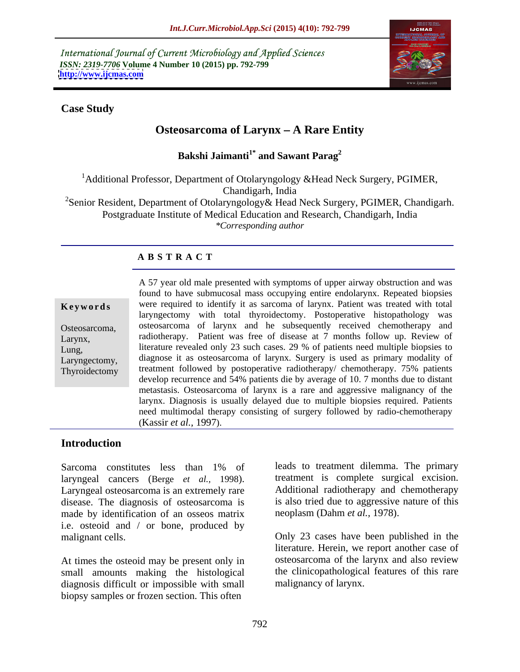International Journal of Current Microbiology and Applied Sciences *ISSN: 2319-7706* **Volume 4 Number 10 (2015) pp. 792-799 <http://www.ijcmas.com>**



### **Case Study**

# **Osteosarcoma of Larynx – A Rare Entity**

**Bakshi Jaimanti1\* and Sawant Parag<sup>2</sup>**

<sup>1</sup>Additional Professor, Department of Otolaryngology &Head Neck Surgery, PGIMER, Chandigarh, India <sup>2</sup>Senior Resident, Department of Otolaryngology & Head Neck Surgery, PGIMER, Chandigarh. Postgraduate Institute of Medical Education and Research, Chandigarh, India *\*Corresponding author*

# **A B S T R A C T**

| reywords       |
|----------------|
| Osteosarcoma,  |
| $\Gamma$ owner |

Thyroidectomy

A 57 year old male presented with symptoms of upper airway obstruction and was found to have submucosal mass occupying entire endolarynx. Repeated biopsies were required to identify it as sarcoma of larynx. Patient was treated with total laryngectomy with total thyroidectomy. Postoperative histopathology was osteosarcoma of larynx and he subsequently received chemotherapy and radiotherapy. Patient was free of disease at 7 months follow up. Review of literature revealed only 23 such cases. 29 % of patients need multiple biopsies to Laryngectomy, diagnose it as osteosarcoma of larynx. Surgery is used as primary modality of treatment followed by postoperative radiotherapy/ chemotherapy. 75% patients develop recurrence and 54% patients die by average of 10. 7 months due to distant metastasis. Osteosarcoma of larynx is a rare and aggressive malignancy of the larynx. Diagnosis is usually delayed due to multiple biopsies required. Patients need multimodal therapy consisting of surgery followed by radio-chemotherapy **Keywords**<br>
Were required to identity it as sarcoma of larynx. Patient was treated with total<br>
larynx, osteosarcoma of larynx and he subsequently received chemotherapy and<br>
Larynx, radiotherapy. Patient was free of disease Osteosarcoma, osteosarcoma of larynx and he subsequently received chemotherapy and<br>Larynx, radiotherapy. Patient was free of disease at 7 months follow up. Review of<br>Lung, literature revealed only 23 such cases. 29 % of pa

## **Introduction**

laryngeal cancers (Berge *et al.,* 1998). Laryngeal osteosarcoma is an extremely rare disease. The diagnosis of osteosarcoma is made by identification of an osseos matrix neoplasm (Dahm et al., 1978). i.e. osteoid and / or bone, produced by malignant cells. Compared to make the comparison only 23 cases have been published in the

At times the osteoid may be present only in small amounts making the histological diagnosis difficult or impossible with small biopsy samples or frozen section. This often

Sarcoma constitutes less than 1% of leads to treatment dilemma. The primary leads to treatment dilemma. The primary treatment is complete surgical excision. Additional radiotherapy and chemotherapy is also tried due to aggressive nature of this

neoplasm (Dahm *et al.*, 1978).<br>Only 23 cases have been published in the literature. Herein, we report another case of osteosarcoma of the larynx and also review the clinicopathological features of this rare malignancy of larynx.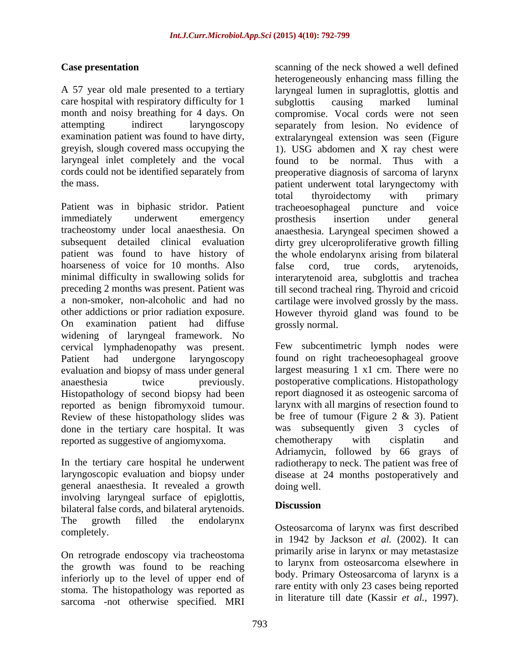care hospital with respiratory difficulty for 1 subglottis causing marked luminal laryngeal inlet completely and the vocal

Patient was in biphasic stridor. Patient tracheoesophageal puncture and voice immediately underwent emergency prosthesis insertion under general tracheostomy under local anaesthesia. On anaesthesia. Laryngeal specimen showed a subsequent detailed clinical evaluation dirty grey ulceroproliferative growth filling patient was found to have history of the whole endolarynx arising from bilateral hoarseness of voice for 10 months. Also false cord, true cords, arytenoids, minimal difficulty in swallowing solids for interarytenoid area. subslottis and trachea minimal difficulty in swallowing solids for interarytenoid area, subglottis and trachea preceding 2 months was present. Patient was till second tracheal ring. Thyroid and cricoid a non-smoker, non-alcoholic and had no cartilage were involved grossly by the mass. other addictions or prior radiation exposure. However thyroid gland was found to be On examination patient had diffuse widening of laryngeal framework. No cervical lymphadenopathy was present. Patient had undergone laryngoscopy found on right tracheoesophageal groove evaluation and biopsy of mass under general anaesthesia twice previously. postoperative complications. Histopathology Histopathology of second biopsy had been reported as benign fibromyxoid tumour. Review of these histopathology slides was done in the tertiary care hospital. It was was subsequenced as suppositive of angiomy xoma. Chemotherapy reported as suggestive of angiomyxoma. The example energy with cisplating and

general anaesthesia. It revealed a growth involving laryngeal surface of epiglottis, bilateral false cords, and bilateral arytenoids. The growth filled the endolarynx

On retrograde endoscopy via tracheostoma the growth was found to be reaching inferiorly up to the level of upper end of stoma. The histopathology was reported as sarcoma -not otherwise specified. MRI

**Case presentation** scanning of the neck showed a well defined A 57 year old male presented to a tertiary laryngeal lumen in supraglottis, glottis and month and noisy breathing for 4 days. On compromise. Vocal cords were not seen attempting indirect laryngoscopy separately from lesion. No evidence of examination patient was found to have dirty, extralaryngeal extension was seen (Figure greyish, slough covered mass occupying the 1). USG abdomen and X ray chest were cords could not be identified separately from preoperative diagnosis of sarcoma of larynx the mass. patient underwent total laryngectomy with heterogeneously enhancing mass filling the subglottis causing marked luminal found to be normal. Thus with a total thyroidectomy with primary prosthesis insertion under general false cord, true cords, arytenoids, grossly normal.

In the tertiary care hospital he underwent radiotherapy to neck. The patient was free of laryngoscopic evaluation and biopsy under disease at 24 months postoperatively and Few subcentimetric lymph nodes were largest measuring 1 x1 cm. There were no report diagnosed it as osteogenic sarcoma of larynx with all margins of resection found to be free of tumour (Figure 2 & 3). Patient was subsequently given 3 cycles of chemotherapy with cisplatin and Adriamycin, followed by 66 grays of doing well.

### **Discussion**

Osteosarcoma of larynx was first described<br>
completely. in 1942 by Jackson *et al.* (2002). It can primarily arise in larynx or may metastasize to larynx from osteosarcoma elsewhere in body. Primary Osteosarcoma of larynx is a rare entity with only 23 cases being reported in literature till date (Kassir *et al.,* 1997).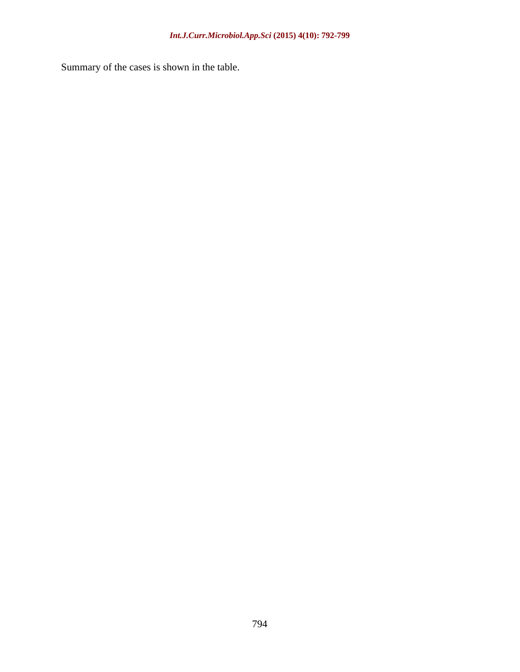Summary of the cases is shown in the table.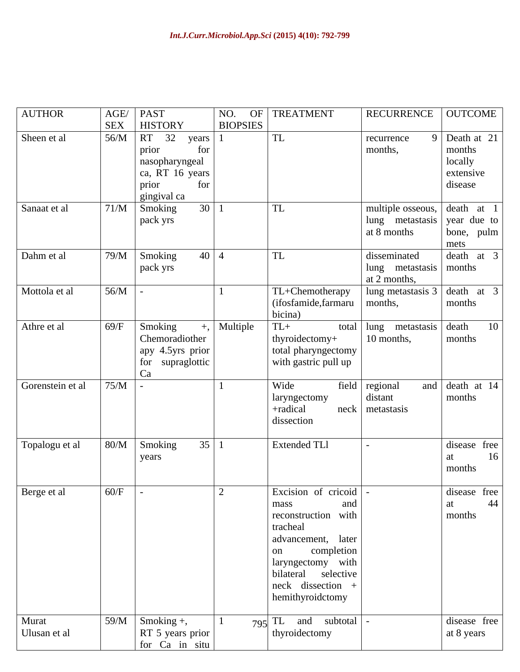| <b>AUTHOR</b>         |          | AGE/ PAST<br>SEX   HISTORY                                                                          | NO. OF TREATMENT                                                                                                                                                                                              | RECURRENCE   OUTCOME                                              |                                     |
|-----------------------|----------|-----------------------------------------------------------------------------------------------------|---------------------------------------------------------------------------------------------------------------------------------------------------------------------------------------------------------------|-------------------------------------------------------------------|-------------------------------------|
| Sheen et al           |          | $\sqrt{56/M}$ RT 32 years<br>for<br>prior                                                           | <b>TL</b>                                                                                                                                                                                                     | recurrence<br>months,                                             | Death at 21<br>months               |
|                       |          | nasopharyngeal<br>ca, RT 16 years<br>for<br>prior                                                   |                                                                                                                                                                                                               |                                                                   | locally<br>extensive<br>disease     |
| Sanaat et al          |          | gingival ca<br>$71/M$ Smoking<br>$30 \mid 1$                                                        | $\vert$ TL                                                                                                                                                                                                    | multiple osseous, death at 1                                      |                                     |
|                       |          | pack yrs                                                                                            |                                                                                                                                                                                                               | $\lvert \text{lung} \rvert$ metastasis vear due to<br>at 8 months | bone, pulm<br>mets                  |
| Dahm et al            |          | $79/M$ Smoking<br>$40 \mid 4$<br>pack yrs                                                           | $\vert$ TL                                                                                                                                                                                                    | disseminated<br>lung metastasis months<br>at 2 months,            | death at 3                          |
| Mottola et al         | $56/M$ - |                                                                                                     | TL+Chemotherapy<br>(ifosfamide, farmaru   months,<br>bicina)                                                                                                                                                  | lung metastasis $3 \mid \overline{death} \quad at \quad 3$        | months                              |
| Athre et al           |          | $\sqrt{69/F}$ Smoking<br>, Multiple<br>Chemoradiother<br>apy 4.5yrs prior<br>for supraglottic<br>Ca | $TL+$<br>thyroidectomy+<br>total pharyngectomy<br>with gastric pull up                                                                                                                                        | total lung metastasis death<br>+ 10 months, months                | 10                                  |
| Gorenstein et al      | 75/M     |                                                                                                     | Wide<br>laryngectomy<br>+radical<br>dissection                                                                                                                                                                | field regional<br>distant<br>neck metastasis                      | and death at 14<br>months           |
| Topalogu et al        |          | 80/M Smoking<br>35 1<br>years                                                                       | Extended TLI                                                                                                                                                                                                  |                                                                   | disease free<br>months              |
| Berge et al           | $60/F$ - | $\vert 2 \vert$                                                                                     | <b>Excision</b> of cricoid<br>and<br>mass<br>reconstruction with<br>tracheal<br>advancement, later<br>completion<br>on<br>  laryngectomy with<br>bilateral selective<br>neck dissection +<br>hemithyroidctomy |                                                                   | disease free<br>44<br>at.<br>months |
| Murat<br>Ulusan et al |          | $59/M$ Smoking +,<br>RT 5 years prior<br>for Ca in situ                                             | $795$ TL and subtotal<br>thyroidectomy                                                                                                                                                                        |                                                                   | disease free<br>at 8 years          |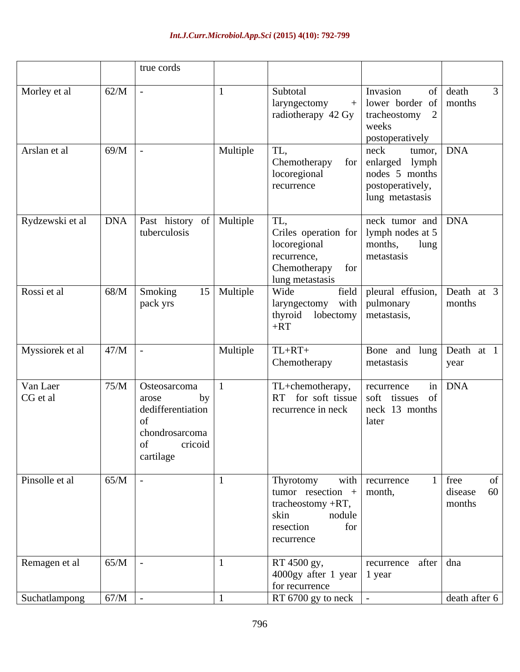|                      |                                             | true cords                                                        |               |                                                                                                                                                           |                                                                                           |                                                                       |
|----------------------|---------------------------------------------|-------------------------------------------------------------------|---------------|-----------------------------------------------------------------------------------------------------------------------------------------------------------|-------------------------------------------------------------------------------------------|-----------------------------------------------------------------------|
| Morley et al         | 62/M                                        |                                                                   |               | Subtotal<br>laryngectomy<br>  radiotherapy 42 Gy   tracheostomy 2                                                                                         | Invasion<br>$\lceil$ lower border of months<br>weeks<br>postoperatively                   | of $death$                                                            |
| Arslan et al         | 69/M                                        |                                                                   | Multiple      | $\overline{\text{TL}},$<br>Chemotherapy for enlarged lymph<br>locoregional<br>recurrence                                                                  | neck<br>nodes 5 months<br>postoperatively,<br>lung metastasis                             | tumor, DNA                                                            |
| Rydzewski et al      | <b>DNA</b> Past history of Multiple         | tuberculosis                                                      |               | $\overline{\text{TL}},$<br>Criles operation for   lymph nodes at 5<br>locoregional<br>recurrence,<br>Chemotherapy for<br>lung metastasis                  | $\sqrt{\frac{1}{N}}$ neck tumor and $\sqrt{\frac{1}{N}}$<br>lung<br>months,<br>metastasis |                                                                       |
| Rossi et al          | $68/M$ Smoking                              | pack yrs                                                          | $15$ Multiple | <b>Wide</b><br>  laryngectomy with   pulmonary<br>  thyroid lobectomy   metastasis,<br>$+RT$                                                              | field pleural effusion, Death at 3                                                        | months                                                                |
| Myssiorek et al      | 47/M                                        |                                                                   | Multiple      | $TL+RT+$<br>Chemotherapy                                                                                                                                  | Bone and lung Death at 1<br>metastasis                                                    | year                                                                  |
| Van Laer<br>CG et al | $\sqrt{75/M}$   Osteosarcoma<br>arose<br>of | by<br>dedifferentiation<br>chondrosarcoma<br>cricoid<br>cartilage |               | $\boxed{\text{TL}}$ +chemotherapy, $\boxed{\text{recurrence}}$<br>RT for soft tissue soft tissues of<br>$\vert$ recurrence in neck $\vert$ neck 13 months | later                                                                                     | $in$ DNA                                                              |
| Pinsolle et al       | 65/M                                        |                                                                   |               | Thyrotomy<br>  tumor resection + $ $ month,<br>tracheostomy $+RT$ ,<br>nodule<br>skin<br>for<br>resection<br>recurrence                                   | with recurrence                                                                           | free<br>$\int$ disease 60 <sup><math>\parallel</math></sup><br>months |
| Remagen et al        | 65/M                                        |                                                                   |               | RT 4500 gy,<br>$\vert$ 4000gy after 1 year $\vert$ 1 year<br>for recurrence                                                                               | recurrence after $\int$ dna                                                               |                                                                       |
| Suchatlampong        | 67/M                                        |                                                                   |               | $\vert$ RT 6700 gy to neck $\vert$ -                                                                                                                      |                                                                                           | death after 6                                                         |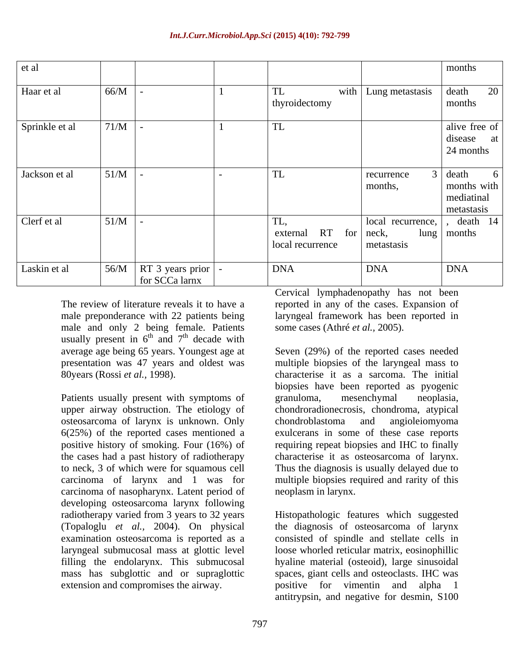| et al          |                                                                                           |                                                        |                                            | months                                                 |
|----------------|-------------------------------------------------------------------------------------------|--------------------------------------------------------|--------------------------------------------|--------------------------------------------------------|
| Haar et al     | 66/M                                                                                      | TL<br>thyroidectomy                                    | with $\vert$ Lung metastasis $\vert$ death | 20<br>months                                           |
| Sprinkle et al | $71/M$ -                                                                                  | TL                                                     |                                            | alive free of<br>disease at<br>24 months               |
| Jackson et al  | 51/M                                                                                      | TL                                                     | recurrence<br>months,                      | $3  $ death<br>months with<br>mediatinal<br>metastasis |
| Clerf et al    | $51/M$ -                                                                                  | TL,<br>external $RT$ for $ neck$ ,<br>local recurrence | metastasis                                 | local recurrence, , death 14<br>lung months            |
| Laskin et al   | $\begin{array}{ c c c c c c } \hline \end{array}$ 56/M RT 3 years prior<br>for SCCa larnx | <b>DNA</b>                                             | <b>DNA</b>                                 | <b>DNA</b>                                             |

The review of literature reveals it to have a reported in any of the cases. Expansion of male preponderance with 22 patients being laryngeal framework has been reported in male and only 2 being female. Patients some cases (Athré et al., 2005). usually present in  $6^{th}$  and  $7^{th}$  decade with and  $7<sup>th</sup>$  decade with <sup>th</sup> decade with  $\frac{1}{2}$ average age being 65 years. Youngest age at Seven (29%) of the reported cases needed presentation was 47 years and oldest was

upper airway obstruction. The etiology of chondroradionecrosis, chondroma, atypical osteosarcoma of larynx is unknown. Only 6(25%) of the reported cases mentioned a exulcerans in some of these case reports positive history of smoking. Four (16%) of requiring repeat biopsies and IHC to finally the cases had a past history of radiotherapy characterise it as osteosarcoma of larynx. to neck, 3 of which were for squamous cell Thus the diagnosis is usually delayed due to carcinoma of larynx and 1 was for multiple biopsies required and rarity of this carcinoma of nasopharynx. Latent period of developing osteosarcoma larynx following extension and compromises the airway. positive for vimentin and alpha

Cervical lymphadenopathy has not been

80years (Rossi *et al.*, 1998). Characterise it as a sarcoma. The initial<br>biopsies have been reported as pyogenic<br>Patients usually present with symptoms of granuloma, mesenchymal neoplasia, some cases (Athré *et al.*, 2005).<br>Seven (29%) of the reported cases needed multiple biopsies of the laryngeal mass to characterise it as a sarcoma. The initial biopsies have been reported as pyogenic granuloma, mesenchymal neoplasia, chondroblastoma and angioleiomyoma neoplasm in larynx.

radiotherapy varied from 3 years to 32 years Histopathologic features which suggested (Topaloglu *et al.,* 2004). On physical the diagnosis of osteosarcoma of larynx examination osteosarcoma is reported as a consisted of spindle and stellate cells in laryngeal submucosal mass at glottic level loose whorled reticular matrix, eosinophillic filling the endolarynx. This submucosal hyaline material (osteoid), large sinusoidal mass has subglottic and or supraglottic spaces, giant cells and osteoclasts. IHC was positive for vimentin and antitrypsin, and negative for desmin, S100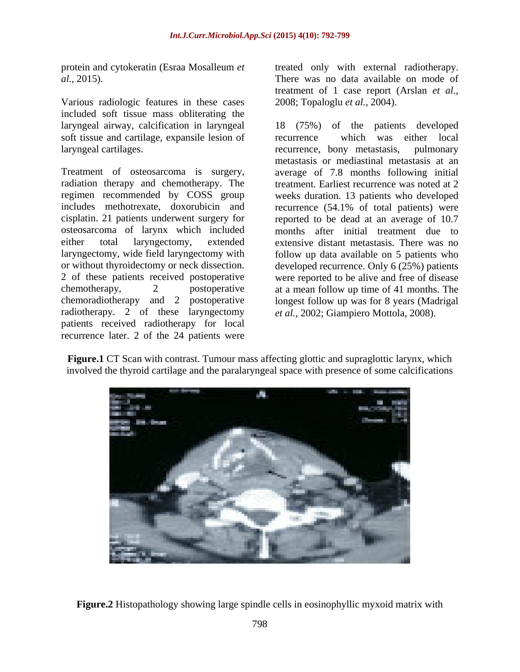Various radiologic features in these cases included soft tissue mass obliterating the soft tissue and cartilage, expansile lesion of laryngeal cartilages.

osteosarcoma of larynx which included radiotherapy. 2 of these laryngectomy patients received radiotherapy for local recurrence later. 2 of the 24 patients were

protein and cytokeratin (Esraa Mosalleum *et*  treated only with external radiotherapy. *al.,* 2015). There was no data available on mode of treatment of 1 case report (Arslan *et al.,* 2008; Topaloglu *et al.,* 2004).

laryngeal airway, calcification in laryngeal 18 (75%) of the patients developed Treatment of osteosarcoma is surgery, average of 7.8 months following initial radiation therapy and chemotherapy. The treatment. Earliest recurrence was noted at 2 regimen recommended by COSS group weeks duration. 13 patients who developed includes methotrexate, doxorubicin and recurrence (54.1% of total patients) were cisplatin. 21 patients underwent surgery for reported to be dead at an average of 10.7 either total laryngectomy, extended extensive distant metastasis. There was no laryngectomy, wide field laryngectomy with follow up data available on 5 patients who or without thyroidectomy or neck dissection. developed recurrence. Only 6 (25%) patients 2 of these patients received postoperative were reported to be alive and free of disease chemotherapy, 2 postoperative at a mean follow up time of 41 months. The chemoradiotherapy and 2 postoperative longest follow up was for 8 years (Madrigal which was either local recurrence, bony metastasis, pulmonary metastasis or mediastinal metastasis at an months after initial treatment due to *et al.,* 2002; Giampiero Mottola, 2008).

**Figure.1** CT Scan with contrast. Tumour mass affecting glottic and supraglottic larynx, which involved the thyroid cartilage and the paralaryngeal space with presence of some calcifications



**Figure.2** Histopathology showing large spindle cells in eosinophyllic myxoid matrix with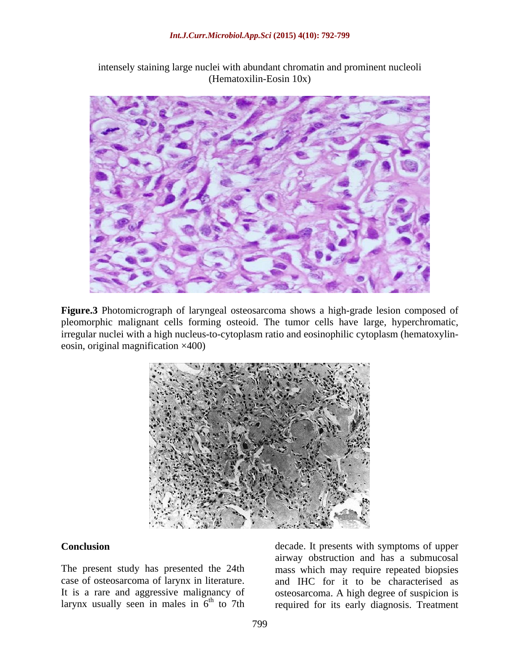

intensely staining large nuclei with abundant chromatin and prominent nucleoli (Hematoxilin-Eosin 10x)

**Figure.3** Photomicrograph of laryngeal osteosarcoma shows a high-grade lesion composed of pleomorphic malignant cells forming osteoid. The tumor cells have large, hyperchromatic, irregular nuclei with a high nucleus-to-cytoplasm ratio and eosinophilic cytoplasm (hematoxylin eosin, original magnification ×400)



**Conclusion Conclusion decade.** It presents with symptoms of upper The present study has presented the 24th mass which may require repeated biopsies case of osteosarcoma of larynx in literature. and IHC for it to be characterised as It is a rare and aggressive malignancy of osteosarcoma. A high degree of suspicion is larynx usually seen in males in  $6<sup>th</sup>$  to 7th required for its early diagnosis. Treatment airway obstruction and has a submucosal